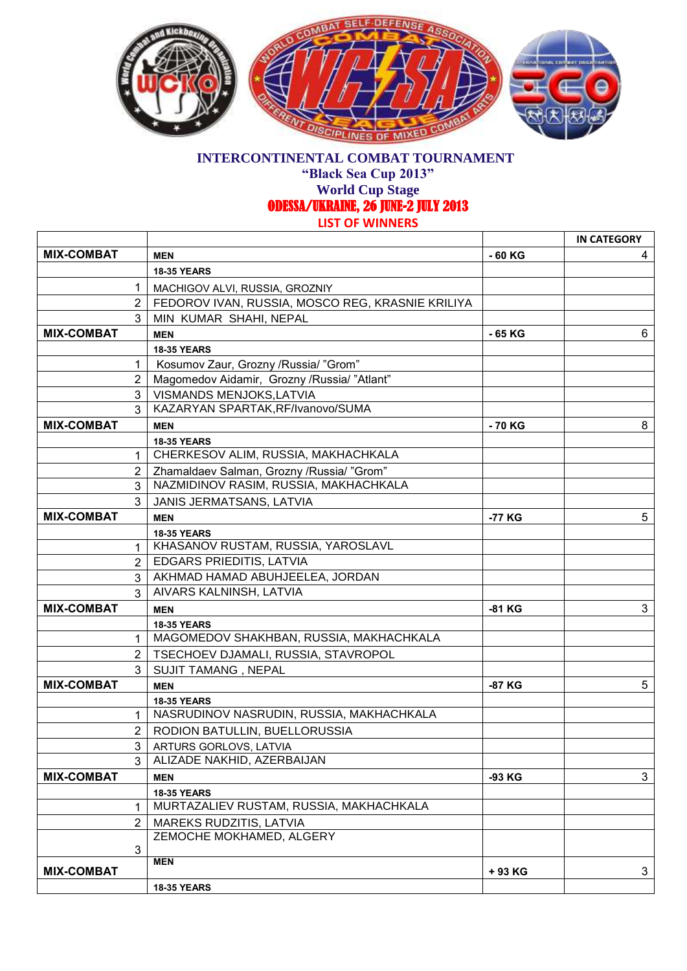

## **INTERCONTINENTAL COMBAT TOURNAMENT**

**"Black Sea Cup 2013"**

**World Cup Stage** 

ODESSA/UKRAINE, 26 JUNE-2 JULY 2013

**LIST OF WINNERS**

|                   |                                                  |          | <b>IN CATEGORY</b> |
|-------------------|--------------------------------------------------|----------|--------------------|
| <b>MIX-COMBAT</b> | <b>MEN</b>                                       | $-60$ KG | 4                  |
|                   | <b>18-35 YEARS</b>                               |          |                    |
| $\mathbf{1}$      | MACHIGOV ALVI, RUSSIA, GROZNIY                   |          |                    |
| $\mathbf{2}$      | FEDOROV IVAN, RUSSIA, MOSCO REG, KRASNIE KRILIYA |          |                    |
| 3                 | MIN KUMAR SHAHI, NEPAL                           |          |                    |
| <b>MIX-COMBAT</b> | <b>MEN</b>                                       | - 65 KG  | 6                  |
|                   | <b>18-35 YEARS</b>                               |          |                    |
| $\mathbf{1}$      | Kosumov Zaur, Grozny /Russia/ "Grom"             |          |                    |
| $\mathbf{2}$      | Magomedov Aidamir, Grozny /Russia/"Atlant"       |          |                    |
| 3 <sup>1</sup>    | <b>VISMANDS MENJOKS, LATVIA</b>                  |          |                    |
| 3                 | KAZARYAN SPARTAK, RF/Ivanovo/SUMA                |          |                    |
| <b>MIX-COMBAT</b> | <b>MEN</b>                                       | - 70 KG  | 8                  |
|                   | <b>18-35 YEARS</b>                               |          |                    |
| $\mathbf{1}$      | CHERKESOV ALIM, RUSSIA, MAKHACHKALA              |          |                    |
| $\mathbf{2}$      | Zhamaldaev Salman, Grozny / Russia/ "Grom"       |          |                    |
| 3                 | NAZMIDINOV RASIM, RUSSIA, MAKHACHKALA            |          |                    |
| 3                 | JANIS JERMATSANS, LATVIA                         |          |                    |
| <b>MIX-COMBAT</b> | <b>MEN</b>                                       | -77 KG   | 5                  |
|                   | <b>18-35 YEARS</b>                               |          |                    |
| $\mathbf{1}$      | KHASANOV RUSTAM, RUSSIA, YAROSLAVL               |          |                    |
| $\overline{2}$    | <b>EDGARS PRIEDITIS, LATVIA</b>                  |          |                    |
| 3 <sup>1</sup>    | AKHMAD HAMAD ABUHJEELEA, JORDAN                  |          |                    |
| 3                 | AIVARS KALNINSH, LATVIA                          |          |                    |
| <b>MIX-COMBAT</b> | <b>MEN</b>                                       | -81 KG   | 3                  |
|                   | <b>18-35 YEARS</b>                               |          |                    |
| 1                 | MAGOMEDOV SHAKHBAN, RUSSIA, MAKHACHKALA          |          |                    |
| $2^{\circ}$       | TSECHOEV DJAMALI, RUSSIA, STAVROPOL              |          |                    |
| 3                 | SUJIT TAMANG, NEPAL                              |          |                    |
| <b>MIX-COMBAT</b> | <b>MEN</b>                                       | -87 KG   | 5                  |
|                   | <b>18-35 YEARS</b>                               |          |                    |
| 1                 | NASRUDINOV NASRUDIN, RUSSIA, MAKHACHKALA         |          |                    |
| $\overline{2}$    | RODION BATULLIN, BUELLORUSSIA                    |          |                    |
| 3 <sup>1</sup>    | ARTURS GORLOVS, LATVIA                           |          |                    |
| 3                 | ALIZADE NAKHID, AZERBAIJAN                       |          |                    |
| <b>MIX-COMBAT</b> | <b>MEN</b>                                       | -93 KG   | 3                  |
|                   | <b>18-35 YEARS</b>                               |          |                    |
| $\mathbf{1}$      | MURTAZALIEV RUSTAM, RUSSIA, MAKHACHKALA          |          |                    |
| $\overline{2}$    | MAREKS RUDZITIS, LATVIA                          |          |                    |
|                   | ZEMOCHE MOKHAMED, ALGERY                         |          |                    |
| 3                 |                                                  |          |                    |
| <b>MIX-COMBAT</b> | <b>MEN</b>                                       | + 93 KG  | 3                  |
|                   | <b>18-35 YEARS</b>                               |          |                    |